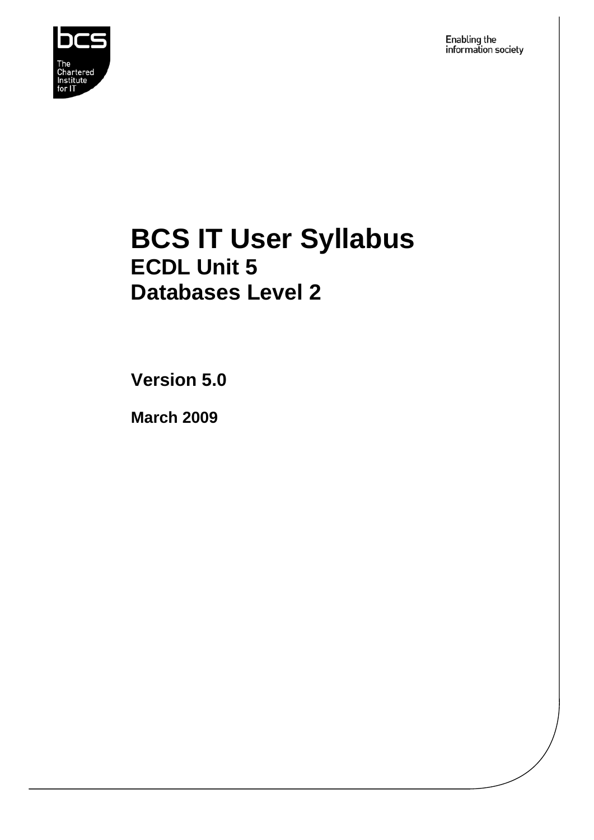

Enabling the<br>information society

## **BCS IT User Syllabus ECDL Unit 5 Databases Level 2**

**Version 5.0** 

**March 2009**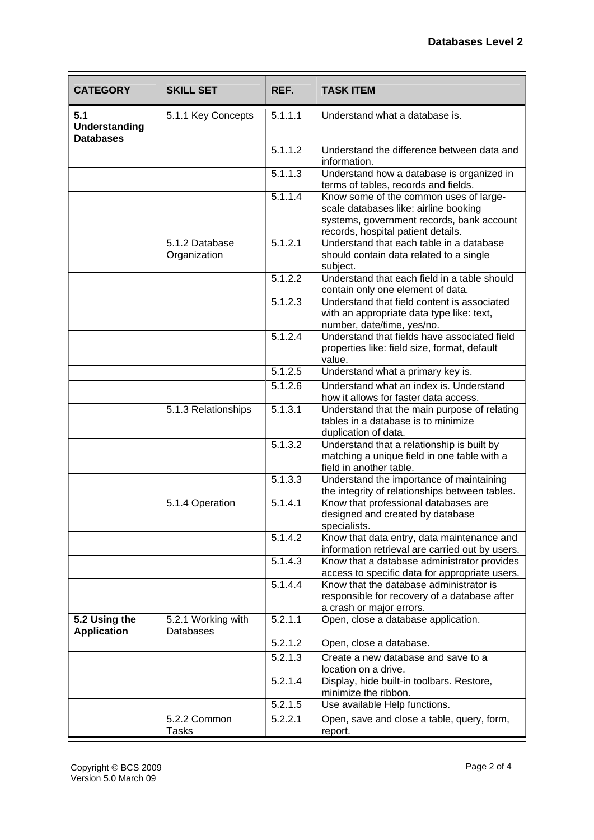| <b>CATEGORY</b>                                 | <b>SKILL SET</b>                | REF.                 | <b>TASK ITEM</b>                                                                                                                                                   |
|-------------------------------------------------|---------------------------------|----------------------|--------------------------------------------------------------------------------------------------------------------------------------------------------------------|
| 5.1<br><b>Understanding</b><br><b>Databases</b> | 5.1.1 Key Concepts              | 5.1.1.1              | Understand what a database is.                                                                                                                                     |
|                                                 |                                 | $\overline{5.1.1.2}$ | Understand the difference between data and<br>information.                                                                                                         |
|                                                 |                                 | 5.1.1.3              | Understand how a database is organized in<br>terms of tables, records and fields.                                                                                  |
|                                                 |                                 | 5.1.1.4              | Know some of the common uses of large-<br>scale databases like: airline booking<br>systems, government records, bank account<br>records, hospital patient details. |
|                                                 | 5.1.2 Database<br>Organization  | 5.1.2.1              | Understand that each table in a database<br>should contain data related to a single<br>subject.                                                                    |
|                                                 |                                 | 5.1.2.2              | Understand that each field in a table should<br>contain only one element of data.                                                                                  |
|                                                 |                                 | 5.1.2.3              | Understand that field content is associated<br>with an appropriate data type like: text,<br>number, date/time, yes/no.                                             |
|                                                 |                                 | 5.1.2.4              | Understand that fields have associated field<br>properties like: field size, format, default<br>value.                                                             |
|                                                 |                                 | $\overline{5.1.2.5}$ | Understand what a primary key is.                                                                                                                                  |
|                                                 |                                 | 5.1.2.6              | Understand what an index is. Understand<br>how it allows for faster data access.                                                                                   |
|                                                 | 5.1.3 Relationships             | 5.1.3.1              | Understand that the main purpose of relating<br>tables in a database is to minimize<br>duplication of data.                                                        |
|                                                 |                                 | 5.1.3.2              | Understand that a relationship is built by<br>matching a unique field in one table with a<br>field in another table.                                               |
|                                                 |                                 | 5.1.3.3              | Understand the importance of maintaining<br>the integrity of relationships between tables.                                                                         |
|                                                 | 5.1.4 Operation                 | 5.1.4.1              | Know that professional databases are<br>designed and created by database<br>specialists.                                                                           |
|                                                 |                                 | 5.1.4.2              | Know that data entry, data maintenance and<br>information retrieval are carried out by users.                                                                      |
|                                                 |                                 | 5.1.4.3              | Know that a database administrator provides<br>access to specific data for appropriate users.                                                                      |
|                                                 |                                 | 5.1.4.4              | Know that the database administrator is<br>responsible for recovery of a database after<br>a crash or major errors.                                                |
| 5.2 Using the<br><b>Application</b>             | 5.2.1 Working with<br>Databases | 5.2.1.1              | Open, close a database application.                                                                                                                                |
|                                                 |                                 | 5.2.1.2              | Open, close a database.                                                                                                                                            |
|                                                 |                                 | 5.2.1.3              | Create a new database and save to a<br>location on a drive.                                                                                                        |
|                                                 |                                 | 5.2.1.4              | Display, hide built-in toolbars. Restore,<br>minimize the ribbon.                                                                                                  |
|                                                 |                                 | 5.2.1.5              | Use available Help functions.                                                                                                                                      |
|                                                 | 5.2.2 Common<br>Tasks           | 5.2.2.1              | Open, save and close a table, query, form,<br>report.                                                                                                              |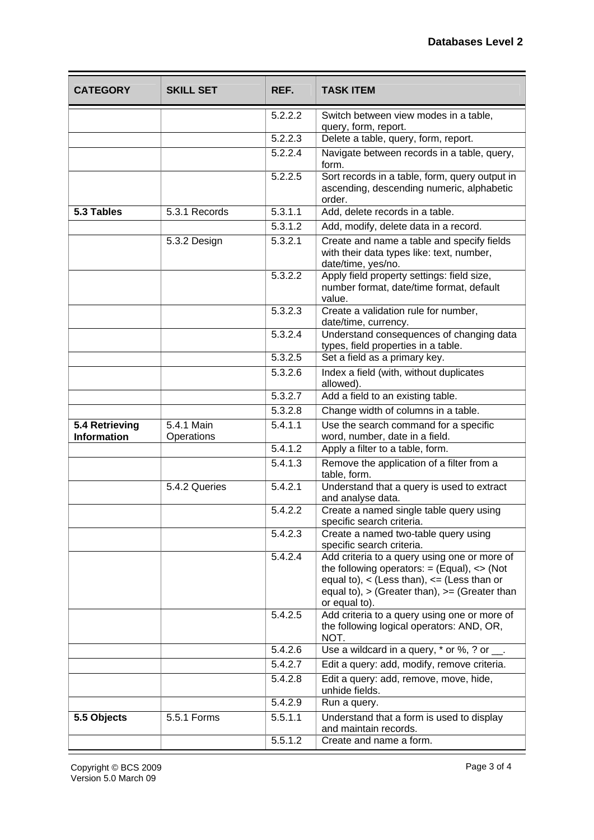| <b>CATEGORY</b>                      | <b>SKILL SET</b>         | REF.                 | <b>TASK ITEM</b>                                                                                                                                                                                                              |
|--------------------------------------|--------------------------|----------------------|-------------------------------------------------------------------------------------------------------------------------------------------------------------------------------------------------------------------------------|
|                                      |                          | 5.2.2.2              | Switch between view modes in a table,<br>query, form, report.                                                                                                                                                                 |
|                                      |                          | 5.2.2.3              | Delete a table, query, form, report.                                                                                                                                                                                          |
|                                      |                          | 5.2.2.4              | Navigate between records in a table, query,<br>form.                                                                                                                                                                          |
|                                      |                          | 5.2.2.5              | Sort records in a table, form, query output in<br>ascending, descending numeric, alphabetic<br>order.                                                                                                                         |
| 5.3 Tables                           | 5.3.1 Records            | 5.3.1.1              | Add, delete records in a table.                                                                                                                                                                                               |
|                                      |                          | 5.3.1.2              | Add, modify, delete data in a record.                                                                                                                                                                                         |
|                                      | 5.3.2 Design             | 5.3.2.1              | Create and name a table and specify fields<br>with their data types like: text, number,<br>date/time, yes/no.                                                                                                                 |
|                                      |                          | 5.3.2.2              | Apply field property settings: field size,<br>number format, date/time format, default<br>value.                                                                                                                              |
|                                      |                          | 5.3.2.3              | Create a validation rule for number,<br>date/time, currency.                                                                                                                                                                  |
|                                      |                          | 5.3.2.4              | Understand consequences of changing data<br>types, field properties in a table.                                                                                                                                               |
|                                      |                          | $\overline{5.3.2.5}$ | Set a field as a primary key.                                                                                                                                                                                                 |
|                                      |                          | 5.3.2.6              | Index a field (with, without duplicates<br>allowed).                                                                                                                                                                          |
|                                      |                          | 5.3.2.7              | Add a field to an existing table.                                                                                                                                                                                             |
|                                      |                          | 5.3.2.8              | Change width of columns in a table.                                                                                                                                                                                           |
| 5.4 Retrieving<br><b>Information</b> | 5.4.1 Main<br>Operations | 5.4.1.1              | Use the search command for a specific<br>word, number, date in a field.                                                                                                                                                       |
|                                      |                          | 5.4.1.2              | Apply a filter to a table, form.                                                                                                                                                                                              |
|                                      |                          | 5.4.1.3              | Remove the application of a filter from a<br>table, form.                                                                                                                                                                     |
|                                      | 5.4.2 Queries            | 5.4.2.1              | Understand that a query is used to extract<br>and analyse data.                                                                                                                                                               |
|                                      |                          | 5.4.2.2              | Create a named single table query using<br>specific search criteria.                                                                                                                                                          |
|                                      |                          | 5.4.2.3              | Create a named two-table query using<br>specific search criteria.                                                                                                                                                             |
|                                      |                          | 5.4.2.4              | Add criteria to a query using one or more of<br>the following operators: $=$ (Equal), $\lt$ (Not<br>equal to), $\lt$ (Less than), $\lt$ = (Less than or<br>equal to), $>$ (Greater than), $>=($ Greater than<br>or equal to). |
|                                      |                          | 5.4.2.5              | Add criteria to a query using one or more of<br>the following logical operators: AND, OR,<br>NOT.                                                                                                                             |
|                                      |                          | 5.4.2.6              | Use a wildcard in a query, * or %, ? or __.                                                                                                                                                                                   |
|                                      |                          | 5.4.2.7              | Edit a query: add, modify, remove criteria.                                                                                                                                                                                   |
|                                      |                          | 5.4.2.8              | Edit a query: add, remove, move, hide,<br>unhide fields.                                                                                                                                                                      |
|                                      |                          | 5.4.2.9              | Run a query.                                                                                                                                                                                                                  |
| 5.5 Objects                          | 5.5.1 Forms              | 5.5.1.1              | Understand that a form is used to display<br>and maintain records.                                                                                                                                                            |
|                                      |                          | 5.5.1.2              | Create and name a form.                                                                                                                                                                                                       |